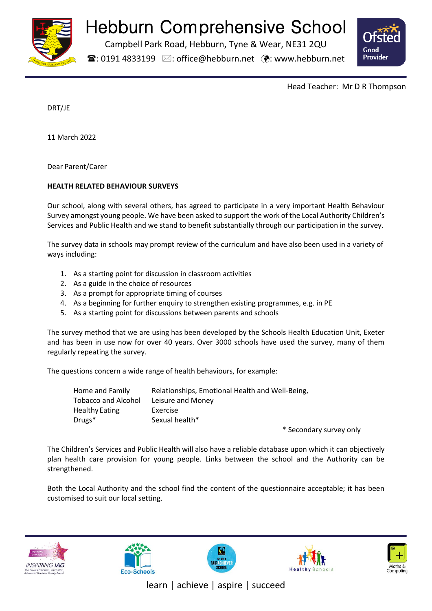

# Hebburn Comprehensive School

Campbell Park Road, Hebburn, Tyne & Wear, NE31 2QU

 $\mathbf{\widehat{a}}$ : 0191 4833199  $\boxtimes$ : office@hebburn.net  $\ddot{\mathbf{\cdot}}$ : www.hebburn.net



Head Teacher: Mr D R Thompson

DRT/JE

11 March 2022

Dear Parent/Carer

# **HEALTH RELATED BEHAVIOUR SURVEYS**

Our school, along with several others, has agreed to participate in a very important Health Behaviour Survey amongst young people. We have been asked to support the work of the Local Authority Children's Services and Public Health and we stand to benefit substantially through our participation in the survey.

The survey data in schools may prompt review of the curriculum and have also been used in a variety of ways including:

- 1. As a starting point for discussion in classroom activities
- 2. As a guide in the choice of resources
- 3. As a prompt for appropriate timing of courses
- 4. As a beginning for further enquiry to strengthen existing programmes, e.g. in PE
- 5. As a starting point for discussions between parents and schools

The survey method that we are using has been developed by the Schools Health Education Unit, Exeter and has been in use now for over 40 years. Over 3000 schools have used the survey, many of them regularly repeating the survey.

The questions concern a wide range of health behaviours, for example:

| Home and Family            | Relationships, Emotional Health and Well-Being, |  |
|----------------------------|-------------------------------------------------|--|
| <b>Tobacco and Alcohol</b> | Leisure and Money                               |  |
| Healthy Eating             | Exercise                                        |  |
| $Drugs*$                   | Sexual health*                                  |  |
|                            |                                                 |  |

\* Secondary survey only

The Children's Services and Public Health will also have a reliable database upon which it can objectively plan health care provision for young people. Links between the school and the Authority can be strengthened.

Both the Local Authority and the school find the content of the questionnaire acceptable; it has been customised to suit our local setting.











learn | achieve | aspire | succeed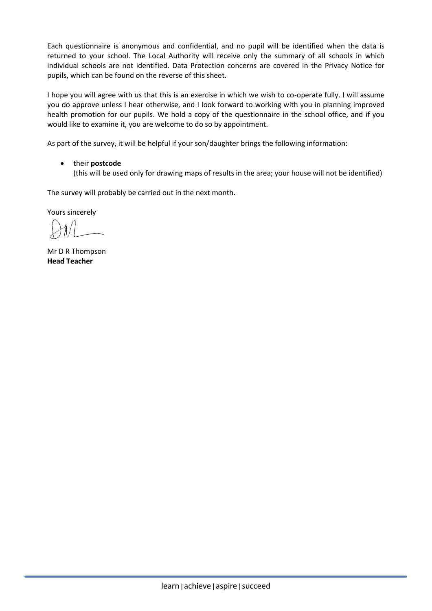Each questionnaire is anonymous and confidential, and no pupil will be identified when the data is returned to your school. The Local Authority will receive only the summary of all schools in which individual schools are not identified. Data Protection concerns are covered in the Privacy Notice for pupils, which can be found on the reverse of this sheet.

I hope you will agree with us that this is an exercise in which we wish to co-operate fully. I will assume you do approve unless I hear otherwise, and I look forward to working with you in planning improved health promotion for our pupils. We hold a copy of the questionnaire in the school office, and if you would like to examine it, you are welcome to do so by appointment.

As part of the survey, it will be helpful if your son/daughter brings the following information:

• their **postcode** (this will be used only for drawing maps of results in the area; your house will not be identified)

The survey will probably be carried out in the next month.

Yours sincerely

Mr D R Thompson **Head Teacher**